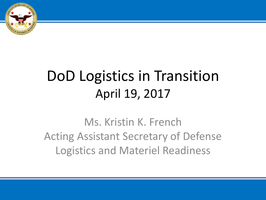

# DoD Logistics in Transition April 19, 2017

Ms. Kristin K. French Acting Assistant Secretary of Defense Logistics and Materiel Readiness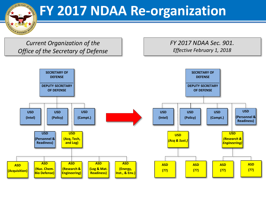**FY 2017 NDAA Re-organization**

*Current Organization of the Office of the Secretary of Defense*

& MATERIE

*FY 2017 NDAA Sec. 901. Effective February 1, 2018*

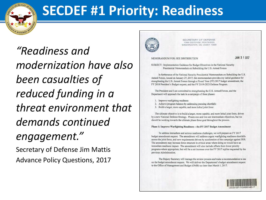

## **SECDEF #1 Priority: Readiness**

"Readiness and modernization have also been casualties of reduced funding in a threat environment that demands continued engagement." Secretary of Defense Jim Mattis **Advance Policy Questions, 2017** 



SECRETARY OF DEFENSI FOOD DEFENSE, PENTAGON WASHINGTON, DC 20301-1000

#### MEMORANDUM FOR: SEE DISTRIBUTION

JAN 3 1 2017

SUBJECT: Implementation Guidance for Budget Directives in the National Security Presidential Memorandum on Rebuilding the U.S. Armed Forces

In furtherance of the National Security Presidential Memorandum on Rebuilding the U.S. Armed Forces, issued on January 27, 2017, this memorandum provides my initial guidance for strengthening the U.S. Armed Forces through a Fiscal Year (FY) 2017 budget amendment, the FY 2018 President's Budget request, and the FY 2019-2023 Defense Program.

The President and I are committed to strengthening the U.S. Armed Forces, and the Department will approach the task in a campaign of three phases:

- 1. Improve warfighting readiness
- 2. Achieve program balance by addressing pressing shortfalls
- 3. Build a larger, more capable, and more lethal joint force

The ultimate objective is to build a larger, more capable, and more lethal joint force, driven by a new National Defense Strategy. Phases one and two are intermediate objectives, but we should be working towards the ultimate phase three goal throughout the process.

#### Phase 1: Improve Warfighting Readiness - the FY 2017 Budget Amendment

To address immediate and serious readiness challenges, we will prepare an FY 2017 budget amendment request. The amendment will address urgent warfighting readiness shortfalls across the joint force, and new requirements driven by acceleration of the campaign against ISIS. The amendment may increase force structure in critical areas where doing so would have an immediate readiness impact. The amendment will also include offsets from lower priority programs where appropriate, but will be a net increase over the FY 2017 topline requested by the previous Administration.

The Deputy Secretary will manage the review process and make a recommendation to me on the budget amendment request. We will deliver the Department's budget amendment request to the Office of Management and Budget (OMB) no later than March 1, 2017.

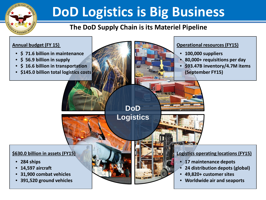

# **DoD Logistics is Big Business**

### **The DoD Supply Chain is its Materiel Pipeline**

### **Annual budget (FY 15)**

- **\$ 71.6 billion in maintenance**
- **\$ 56.9 billion in supply**
- **\$ 16.6 billion in transportation**
- **\$145.0 billion total logistics costs**

### **Operational resources (FY15)**

- **100,000 suppliers**
- **80,000+ requisitions per day** 
	- **\$93.47B inventory/4.7M items (September FY15)**

**DoD**

**Logistics**

#### **\$630.0 billion in assets (FY15)**

- **284 ships**
- **14,597 aircraft**
- **31,900 combat vehicles**
- **391,520 ground vehicles**

#### **Logistics operating locations (FY15)**

- **17 maintenance depots**
- **24 distribution depots (global)**
- **49,820+ customer sites**
- **Worldwide air and seaports**